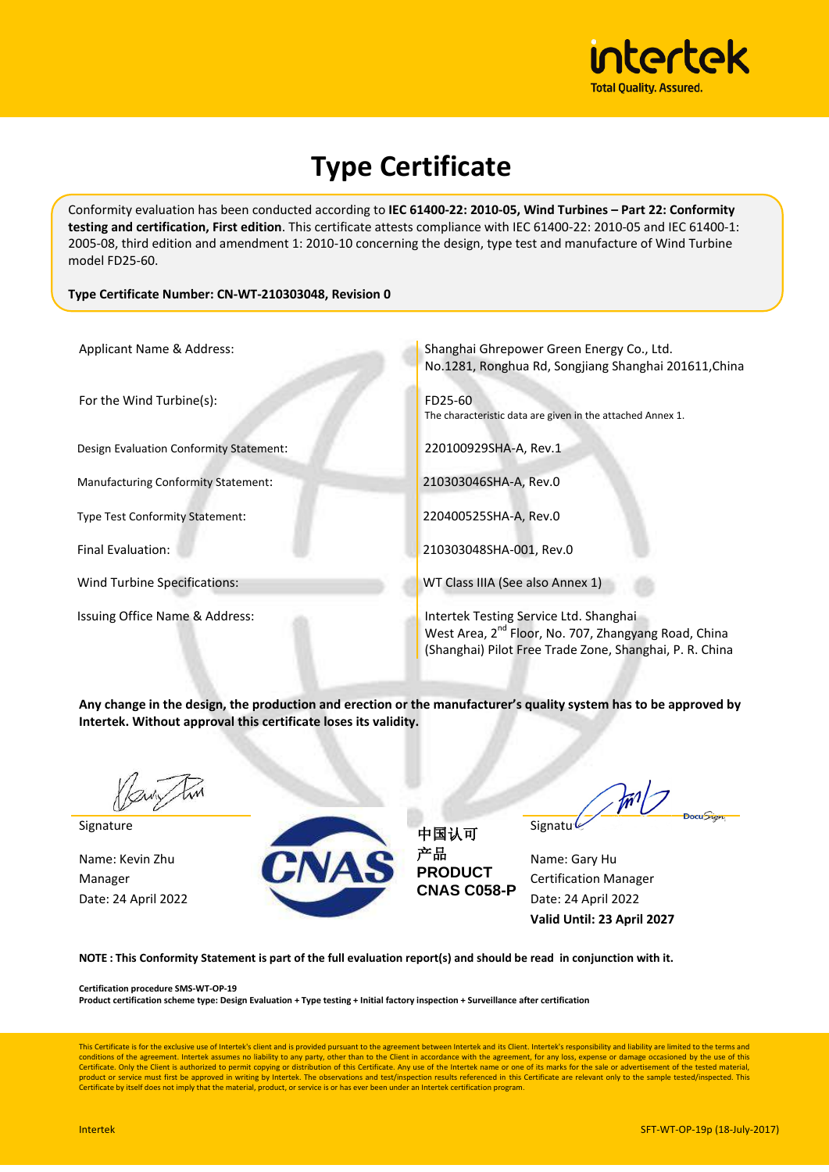

# **Type Certificate**

Conformity evaluation has been conducted according to **IEC 61400-22: 2010-05, Wind Turbines – Part 22: Conformity testing and certification, First edition**. This certificate attests compliance with IEC 61400-22: 2010-05 and IEC 61400-1: 2005-08, third edition and amendment 1: 2010-10 concerning the design, type test and manufacture of Wind Turbine model FD25-60.

#### **Type Certificate Number: CN-WT-210303048, Revision 0**

| Applicant Name & Address:                  | Shanghai Ghrepower Green Energy Co., Ltd.<br>No.1281, Ronghua Rd, Songjiang Shanghai 201611, China                                                                    |
|--------------------------------------------|-----------------------------------------------------------------------------------------------------------------------------------------------------------------------|
| For the Wind Turbine(s):                   | FD25-60<br>The characteristic data are given in the attached Annex 1.                                                                                                 |
| Design Evaluation Conformity Statement:    | 220100929SHA-A, Rev.1                                                                                                                                                 |
| <b>Manufacturing Conformity Statement:</b> | 210303046SHA-A, Rev.0                                                                                                                                                 |
| <b>Type Test Conformity Statement:</b>     | 220400525SHA-A, Rev.0                                                                                                                                                 |
| <b>Final Evaluation:</b>                   | 210303048SHA-001, Rev.0                                                                                                                                               |
| Wind Turbine Specifications:               | WT Class IIIA (See also Annex 1)                                                                                                                                      |
| Issuing Office Name & Address:             | Intertek Testing Service Ltd. Shanghai<br>West Area, 2 <sup>nd</sup> Floor, No. 707, Zhangyang Road, China<br>(Shanghai) Pilot Free Trade Zone, Shanghai, P. R. China |

**Any change in the design, the production and erection or the manufacturer's quality system has to be approved by Intertek. Without approval this certificate loses its validity.** 

Date: 24 April 2022



中国认可 产品 **PRODUCT CNAS C058-P**

 $\frac{1}{2}$ 

Date: 24 April 2022 **Valid Until: 23 April 2027**

**NOTE : This Conformity Statement is part of the full evaluation report(s) and should be read in conjunction with it.**

**Certification procedure SMS-WT-OP-19**

**Product certification scheme type: Design Evaluation + Type testing + Initial factory inspection + Surveillance after certification**

This Certificate is for the exclusive use of Intertek's client and is provided pursuant to the agreement between Intertek and its Client. Intertek's responsibility and liability are limited to the terms and conditions of the agreement. Intertek assumes no liability to any party, other than to the Client in accordance with the agreement, for any loss, expense or damage occasioned by the use of this<br>Certificate. Only the Client product or service must first be approved in writing by Intertek. The observations and test/inspection results referenced in this Certificate are relevant only to the sample tested/inspected. This Certificate by itself does not imply that the material, product, or service is or has ever been under an Intertek certification program.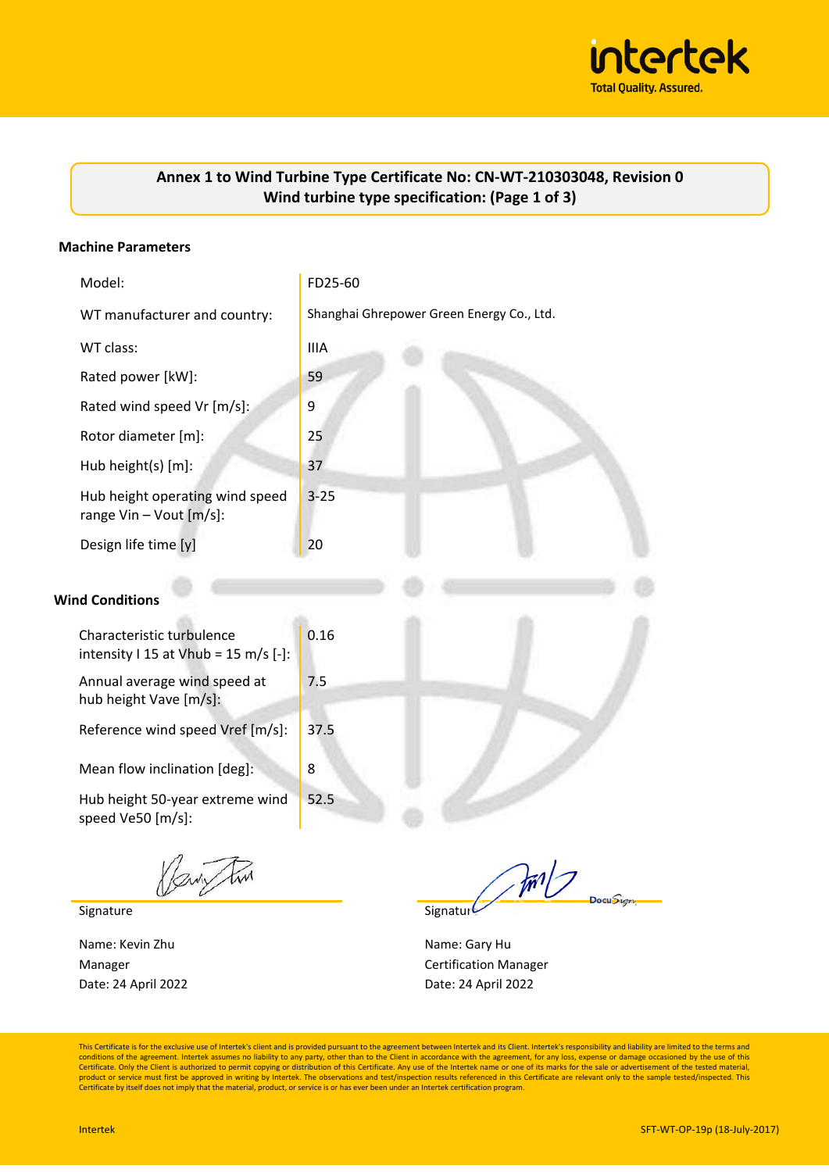

## **Annex 1 to Wind Turbine Type Certificate No: CN-WT-210303048, Revision 0 Wind turbine type specification: (Page 1 of 3)**

#### **Machine Parameters**

| Model:                                                               | FD25-60                                   |
|----------------------------------------------------------------------|-------------------------------------------|
| WT manufacturer and country:                                         | Shanghai Ghrepower Green Energy Co., Ltd. |
| WT class:                                                            | <b>IIIA</b>                               |
| Rated power [kW]:                                                    | 59                                        |
| Rated wind speed Vr [m/s]:                                           | 9                                         |
| Rotor diameter [m]:                                                  | 25                                        |
| Hub height(s) [m]:                                                   | 37                                        |
| Hub height operating wind speed<br>range $Vin - Vout [m/s]$ :        | $3 - 25$                                  |
| Design life time [y]                                                 | 20                                        |
| <b>Wind Conditions</b>                                               |                                           |
| Characteristic turbulence<br>intensity I 15 at Vhub = 15 m/s $[-]$ : | 0.16                                      |
| Annual average wind speed at<br>hub height Vave [m/s]:               | 7.5                                       |
| Reference wind speed Vref [m/s]:                                     | 37.5                                      |
| Mean flow inclination [deg]:                                         | 8                                         |
| Hub height 50-year extreme wind<br>speed Ve50 [m/s]:                 | 52.5                                      |

Kaw Tim

Signature Signature Signature Signature Signature Signature

Name: Kevin Zhu Name: Gary Hu Date: 24 April 2022

m/

Manager **Certification Manager** Certification Manager Date: 24 April 2022

This Certificate is for the exclusive use of Intertek's client and is provided pursuant to the agreement between Intertek and its Client. Intertek's responsibility and liability are limited to the terms and<br>conditions of t product or service must first be approved in writing by Intertek. The observations and test/inspection results referenced in this Certificate are relevant only to the sample tested/inspected. This Certificate by itself does not imply that the material, product, or service is or has ever been under an Intertek certification program.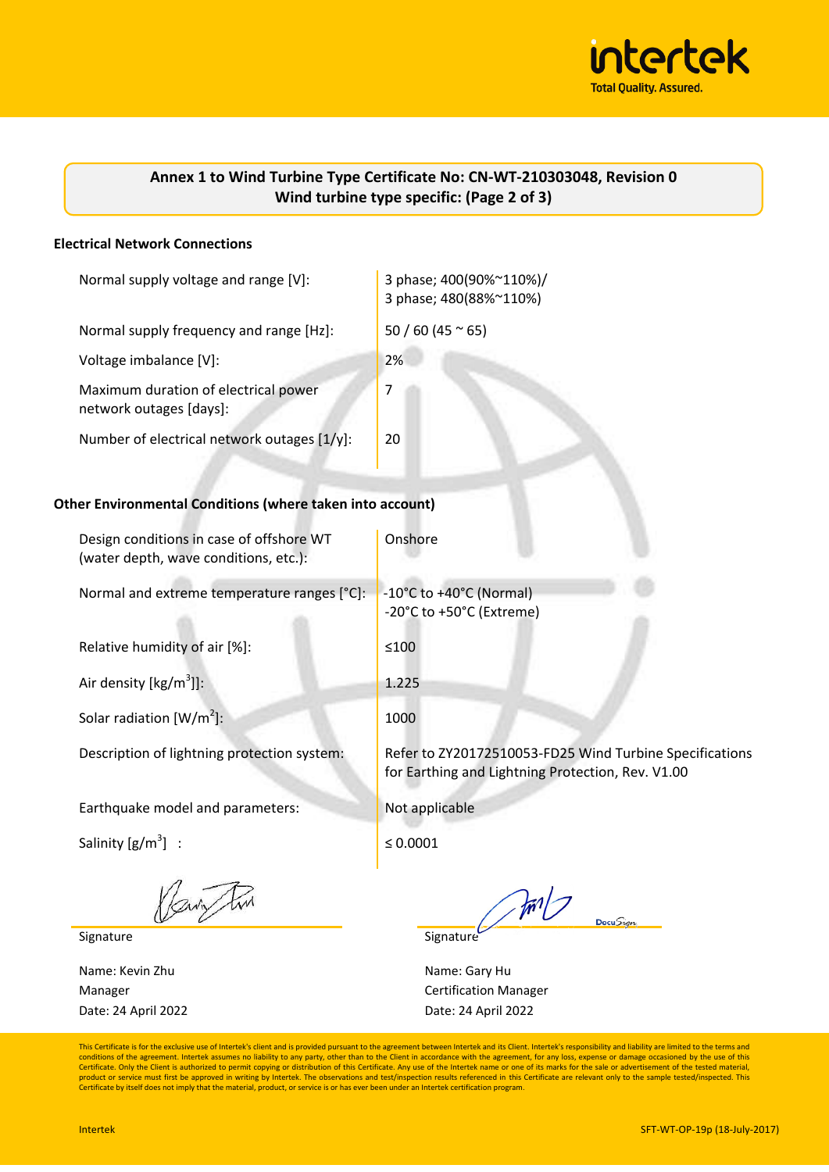

| Annex 1 to Wind Turbine Type Certificate No: CN-WT-210303048, Revision 0 |  |
|--------------------------------------------------------------------------|--|
| Wind turbine type specific: (Page 2 of 3)                                |  |

#### **Electrical Network Connections**

| Normal supply voltage and range [V]:                            | 3 phase; 400(90%~110%)/<br>3 phase; 480(88%~110%) |  |  |
|-----------------------------------------------------------------|---------------------------------------------------|--|--|
| Normal supply frequency and range [Hz]:                         | $50/60(45 \approx 65)$                            |  |  |
| Voltage imbalance [V]:                                          | 2%                                                |  |  |
| Maximum duration of electrical power<br>network outages [days]: | 7                                                 |  |  |
| Number of electrical network outages [1/y]:                     | 20                                                |  |  |
| Other Environmental Conditions (where taken into account)       |                                                   |  |  |

# Design conditions in case of offshore WT (water depth, wave conditions, etc.): Onshore Normal and extreme temperature ranges  $[^{\circ}C]$ :  $\blacksquare$  -10 $^{\circ}C$  to +40 $^{\circ}C$  (Normal) -20°C to +50°C (Extreme) Relative humidity of air  $[\%]$ :  $\qquad \qquad$  ≤100 Air density  $[kg/m<sup>3</sup>]$ : ]]: 1.225 Solar radiation  $[W/m^2]$ : ]: 1000 Description of lightning protection system: Refer to ZY20172510053-FD25 Wind Turbine Specifications for Earthing and Lightning Protection, Rev. V1.00 Earthquake model and parameters: Not applicable Salinity  $[g/m^3]$  :  $\le 0.0001$

Pari Fin

Signature Signature Signature Signature

Name: Kevin Zhu Name: Gary Hu Date: 24 April 2022

 $\mathbb{Z}$  $DocuSign$ 

Manager **Certification Manager** Certification Manager Date: 24 April 2022

This Certificate is for the exclusive use of Intertek's client and is provided pursuant to the agreement between Intertek and its Client. Intertek's responsibility and liability are limited to the terms and conditions of the agreement. Intertek assumes no liability to any party, other than to the Client in accordance with the agreement, for any loss, expense or damage occasioned by the use of this<br>Certificate. Only the Client product or service must first be approved in writing by Intertek. The observations and test/inspection results referenced in this Certificate are relevant only to the sample tested/inspected. This Certificate by itself does not imply that the material, product, or service is or has ever been under an Intertek certification program.